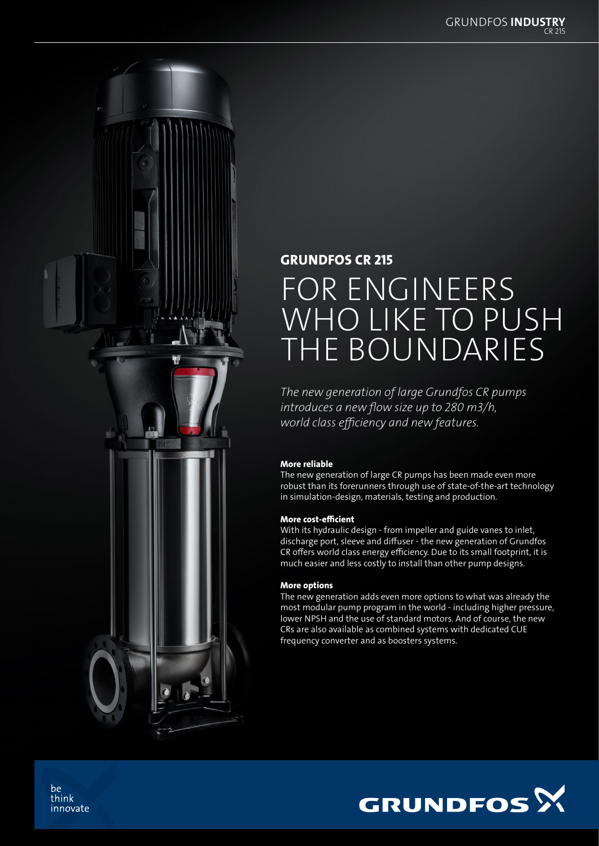

## GRUNDFOS CR 215

# FOR ENGINEERS WHO LIKE TO PUSH THE BOUNDARIES

*The new generation of large Grundfos CR pumps introduces a new flow size up to 280 m3/h, world class efficiency and new features.* 

#### More reliable

The new generation of large CR pumps has been made even more robust than its forerunners through use of state-of-the-art technology in simulation-design, materials, testing and production.

#### More cost-efficient

With its hydraulic design - from impeller and guide vanes to inlet, discharge port, sleeve and diffuser - the new generation of Grundfos CR offers world class energy efficiency. Due to its small footprint, it is much easier and less costly to install than other pump designs.

#### More options

The new generation adds even more options to what was already the most modular pump program in the world - including higher pressure, lower NPSH and the use of standard motors. And of course, the new CRs are also available as combined systems with dedicated CUE frequency converter and as boosters systems.



be think innovate